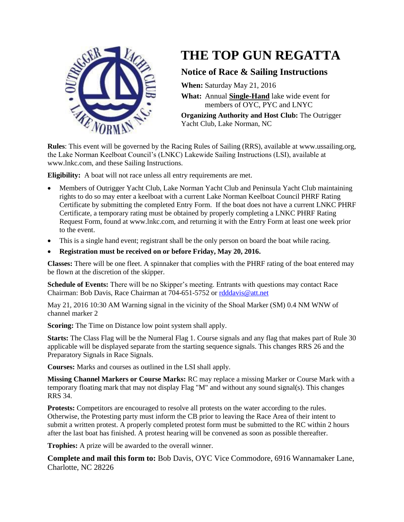

## **THE TOP GUN REGATTA**

## **Notice of Race & Sailing Instructions**

**When:** Saturday May 21, 2016

**What:** Annual **Single-Hand** lake wide event for members of OYC, PYC and LNYC

**Organizing Authority and Host Club:** The Outrigger Yacht Club, Lake Norman, NC

**Rules**: This event will be governed by the Racing Rules of Sailing (RRS), available at www.ussailing.org, the Lake Norman Keelboat Council's (LNKC) Lakewide Sailing Instructions (LSI), available at www.lnkc.com, and these Sailing Instructions.

**Eligibility:** A boat will not race unless all entry requirements are met.

- Members of Outrigger Yacht Club, Lake Norman Yacht Club and Peninsula Yacht Club maintaining rights to do so may enter a keelboat with a current Lake Norman Keelboat Council PHRF Rating Certificate by submitting the completed Entry Form. If the boat does not have a current LNKC PHRF Certificate, a temporary rating must be obtained by properly completing a LNKC PHRF Rating Request Form, found at www.lnkc.com, and returning it with the Entry Form at least one week prior to the event.
- This is a single hand event; registrant shall be the only person on board the boat while racing.
- **Registration must be received on or before Friday, May 20, 2016.**

**Classes:** There will be one fleet. A spinnaker that complies with the PHRF rating of the boat entered may be flown at the discretion of the skipper.

**Schedule of Events:** There will be no Skipper's meeting. Entrants with questions may contact Race Chairman: Bob Davis, Race Chairman at 704-651-5752 or [rdddavis@att.net](mailto:rdddavis@att.net)

May 21, 2016 10:30 AM Warning signal in the vicinity of the Shoal Marker (SM) 0.4 NM WNW of channel marker 2

**Scoring:** The Time on Distance low point system shall apply.

**Starts:** The Class Flag will be the Numeral Flag 1. Course signals and any flag that makes part of Rule 30 applicable will be displayed separate from the starting sequence signals. This changes RRS 26 and the Preparatory Signals in Race Signals.

**Courses:** Marks and courses as outlined in the LSI shall apply.

**Missing Channel Markers or Course Marks:** RC may replace a missing Marker or Course Mark with a temporary floating mark that may not display Flag "M" and without any sound signal(s). This changes RRS 34.

**Protests:** Competitors are encouraged to resolve all protests on the water according to the rules. Otherwise, the Protesting party must inform the CB prior to leaving the Race Area of their intent to submit a written protest. A properly completed protest form must be submitted to the RC within 2 hours after the last boat has finished. A protest hearing will be convened as soon as possible thereafter.

**Trophies:** A prize will be awarded to the overall winner.

**Complete and mail this form to:** Bob Davis, OYC Vice Commodore, 6916 Wannamaker Lane, Charlotte, NC 28226